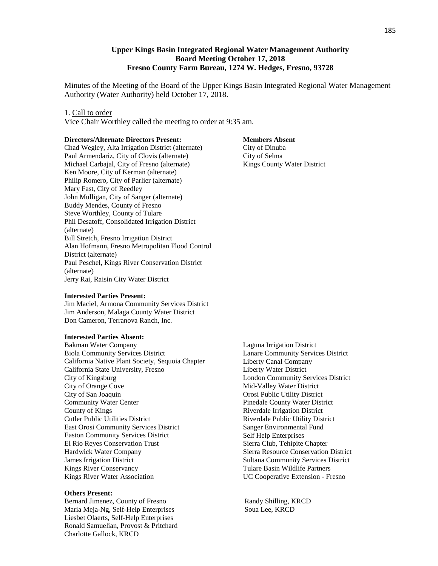## **Upper Kings Basin Integrated Regional Water Management Authority Board Meeting October 17, 2018 Fresno County Farm Bureau, 1274 W. Hedges, Fresno, 93728**

Minutes of the Meeting of the Board of the Upper Kings Basin Integrated Regional Water Management Authority (Water Authority) held October 17, 2018.

#### 1. Call to order

Vice Chair Worthley called the meeting to order at 9:35 am.

#### **Directors/Alternate Directors Present:**

Chad Wegley, Alta Irrigation District (alternate) Paul Armendariz, City of Clovis (alternate) Michael Carbajal, City of Fresno (alternate) Ken Moore, City of Kerman (alternate) Philip Romero, City of Parlier (alternate) Mary Fast, City of Reedley John Mulligan, City of Sanger (alternate) Buddy Mendes, County of Fresno Steve Worthley, County of Tulare Phil Desatoff, Consolidated Irrigation District (alternate) Bill Stretch, Fresno Irrigation District Alan Hofmann, Fresno Metropolitan Flood Control District (alternate) Paul Peschel, Kings River Conservation District (alternate) Jerry Rai, Raisin City Water District

#### **Interested Parties Present:**

Jim Maciel, Armona Community Services District Jim Anderson, Malaga County Water District Don Cameron, Terranova Ranch, Inc.

### **Interested Parties Absent:**

Bakman Water Company Biola Community Services District California Native Plant Society, Sequoia Chapter California State University, Fresno City of Kingsburg City of Orange Cove City of San Joaquin Community Water Center County of Kings Cutler Public Utilities District East Orosi Community Services District Easton Community Services District El Rio Reyes Conservation Trust Hardwick Water Company James Irrigation District Kings River Conservancy Kings River Water Association

### **Others Present:**

Bernard Jimenez, County of Fresno Randy Shilling, KRCD Maria Meja-Ng, Self-Help Enterprises Soua Lee, KRCD Liesbet Olaerts, Self-Help Enterprises Ronald Samuelian, Provost & Pritchard Charlotte Gallock, KRCD

#### **Members Absent**

City of Dinuba City of Selma Kings County Water District

Laguna Irrigation District Lanare Community Services District Liberty Canal Company Liberty Water District London Community Services District Mid-Valley Water District Orosi Public Utility District Pinedale County Water District Riverdale Irrigation District Riverdale Public Utility District Sanger Environmental Fund Self Help Enterprises Sierra Club, Tehipite Chapter Sierra Resource Conservation District Sultana Community Services District Tulare Basin Wildlife Partners UC Cooperative Extension - Fresno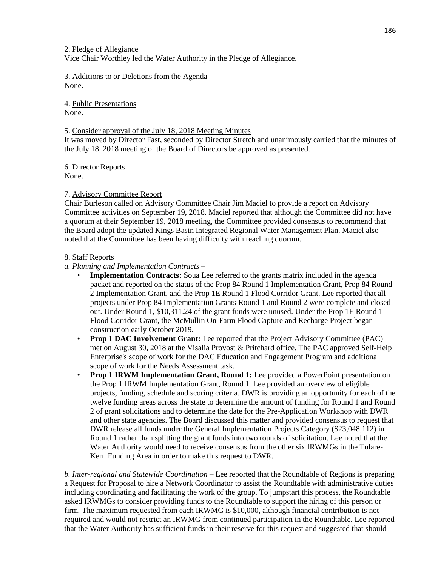2. Pledge of Allegiance Vice Chair Worthley led the Water Authority in the Pledge of Allegiance.

3. Additions to or Deletions from the Agenda None.

4. Public Presentations None.

## 5. Consider approval of the July 18, 2018 Meeting Minutes

It was moved by Director Fast, seconded by Director Stretch and unanimously carried that the minutes of the July 18, 2018 meeting of the Board of Directors be approved as presented.

6. Director Reports None.

## 7. Advisory Committee Report

Chair Burleson called on Advisory Committee Chair Jim Maciel to provide a report on Advisory Committee activities on September 19, 2018. Maciel reported that although the Committee did not have a quorum at their September 19, 2018 meeting, the Committee provided consensus to recommend that the Board adopt the updated Kings Basin Integrated Regional Water Management Plan. Maciel also noted that the Committee has been having difficulty with reaching quorum.

## 8. Staff Reports

## *a. Planning and Implementation Contracts* –

- **Implementation Contracts:** Soua Lee referred to the grants matrix included in the agenda packet and reported on the status of the Prop 84 Round 1 Implementation Grant, Prop 84 Round 2 Implementation Grant, and the Prop 1E Round 1 Flood Corridor Grant. Lee reported that all projects under Prop 84 Implementation Grants Round 1 and Round 2 were complete and closed out. Under Round 1, \$10,311.24 of the grant funds were unused. Under the Prop 1E Round 1 Flood Corridor Grant, the McMullin On-Farm Flood Capture and Recharge Project began construction early October 2019.
- **Prop 1 DAC Involvement Grant:** Lee reported that the Project Advisory Committee (PAC) met on August 30, 2018 at the Visalia Provost & Pritchard office. The PAC approved Self-Help Enterprise's scope of work for the DAC Education and Engagement Program and additional scope of work for the Needs Assessment task.
- **Prop 1 IRWM Implementation Grant, Round 1:** Lee provided a PowerPoint presentation on the Prop 1 IRWM Implementation Grant, Round 1. Lee provided an overview of eligible projects, funding, schedule and scoring criteria. DWR is providing an opportunity for each of the twelve funding areas across the state to determine the amount of funding for Round 1 and Round 2 of grant solicitations and to determine the date for the Pre-Application Workshop with DWR and other state agencies. The Board discussed this matter and provided consensus to request that DWR release all funds under the General Implementation Projects Category (\$23,048,112) in Round 1 rather than splitting the grant funds into two rounds of solicitation. Lee noted that the Water Authority would need to receive consensus from the other six IRWMGs in the Tulare-Kern Funding Area in order to make this request to DWR.

*b. Inter-regional and Statewide Coordination* – Lee reported that the Roundtable of Regions is preparing a Request for Proposal to hire a Network Coordinator to assist the Roundtable with administrative duties including coordinating and facilitating the work of the group. To jumpstart this process, the Roundtable asked IRWMGs to consider providing funds to the Roundtable to support the hiring of this person or firm. The maximum requested from each IRWMG is \$10,000, although financial contribution is not required and would not restrict an IRWMG from continued participation in the Roundtable. Lee reported that the Water Authority has sufficient funds in their reserve for this request and suggested that should